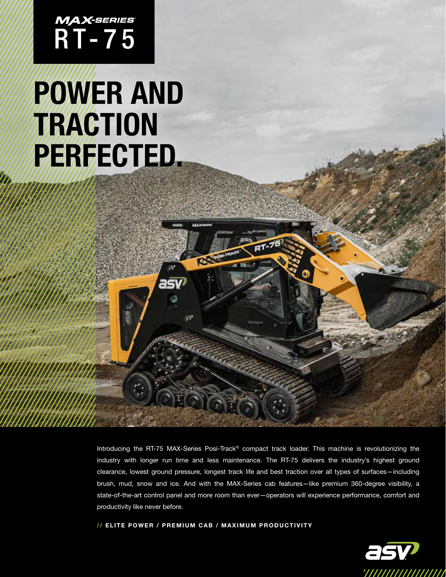MAX-SERIES<br>R T - 7 5

# POWER AND TRACTION PERFECTED.

Introducing the RT-75 MAX-Series Posi-Track® compact track loader. This machine is revolutionizing the industry with longer run time and less maintenance. The RT-75 delivers the industry's highest ground clearance, lowest ground pressure, longest track life and best traction over all types of surfaces—including brush, mud, snow and ice. And with the MAX-Series cab features—like premium 360-degree visibility, a state-of-the-art control panel and more room than ever—operators will experience performance, comfort and productivity like never before.

// ELITE POWER / PREMIUM CAB / MAXIMUM PRODUCTIVITY

asv

50